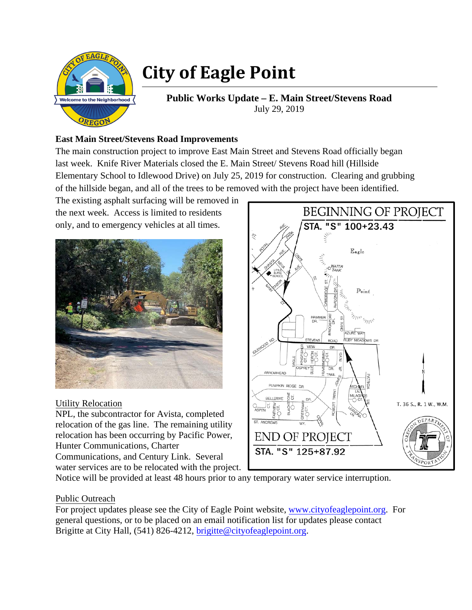

## **City of Eagle Point**

**Public Works Update – E. Main Street/Stevens Road**  July 29, 2019

## **East Main Street/Stevens Road Improvements**

The main construction project to improve East Main Street and Stevens Road officially began last week. Knife River Materials closed the E. Main Street/ Stevens Road hill (Hillside Elementary School to Idlewood Drive) on July 25, 2019 for construction. Clearing and grubbing of the hillside began, and all of the trees to be removed with the project have been identified.

The existing asphalt surfacing will be removed in the next week. Access is limited to residents only, and to emergency vehicles at all times.



Utility Relocation

NPL, the subcontractor for Avista, completed relocation of the gas line. The remaining utility relocation has been occurring by Pacific Power, Hunter Communications, Charter Communications, and Century Link. Several water services are to be relocated with the project.



Notice will be provided at least 48 hours prior to any temporary water service interruption.

## Public Outreach

For project updates please see the City of Eagle Point website, www.cityofeaglepoint.org. For general questions, or to be placed on an email notification list for updates please contact Brigitte at City Hall, (541) 826-4212, brigitte@cityofeaglepoint.org.